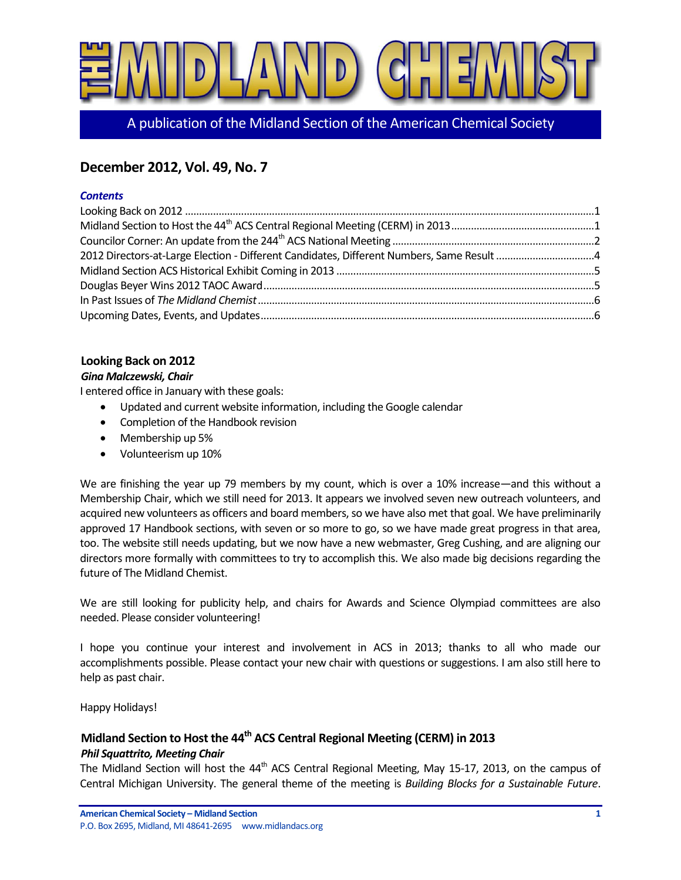

A publication of the Midland Section of the American Chemical Society

# **December 2012, Vol. 49, No. 7**

#### *Contents*

## <span id="page-0-0"></span>**Looking Back on 2012**

#### *Gina Malczewski, Chair*

I entered office in January with these goals:

- Updated and current website information, including the Google calendar
- Completion of the Handbook revision
- Membership up 5%
- Volunteerism up 10%

We are finishing the year up 79 members by my count, which is over a 10% increase—and this without a Membership Chair, which we still need for 2013. It appears we involved seven new outreach volunteers, and acquired new volunteers as officers and board members, so we have also met that goal. We have preliminarily approved 17 Handbook sections, with seven or so more to go, so we have made great progress in that area, too. The website still needs updating, but we now have a new webmaster, Greg Cushing, and are aligning our directors more formally with committees to try to accomplish this. We also made big decisions regarding the future of The Midland Chemist.

We are still looking for publicity help, and chairs for Awards and Science Olympiad committees are also needed. Please consider volunteering!

I hope you continue your interest and involvement in ACS in 2013; thanks to all who made our accomplishments possible. Please contact your new chair with questions or suggestions. I am also still here to help as past chair.

Happy Holidays!

# <span id="page-0-1"></span>**Midland Section to Host the 44th ACS Central Regional Meeting (CERM) in 2013**

### *Phil Squattrito, Meeting Chair*

The Midland Section will host the  $44<sup>th</sup>$  ACS Central Regional Meeting, May 15-17, 2013, on the campus of Central Michigan University. The general theme of the meeting is *Building Blocks for a Sustainable Future*.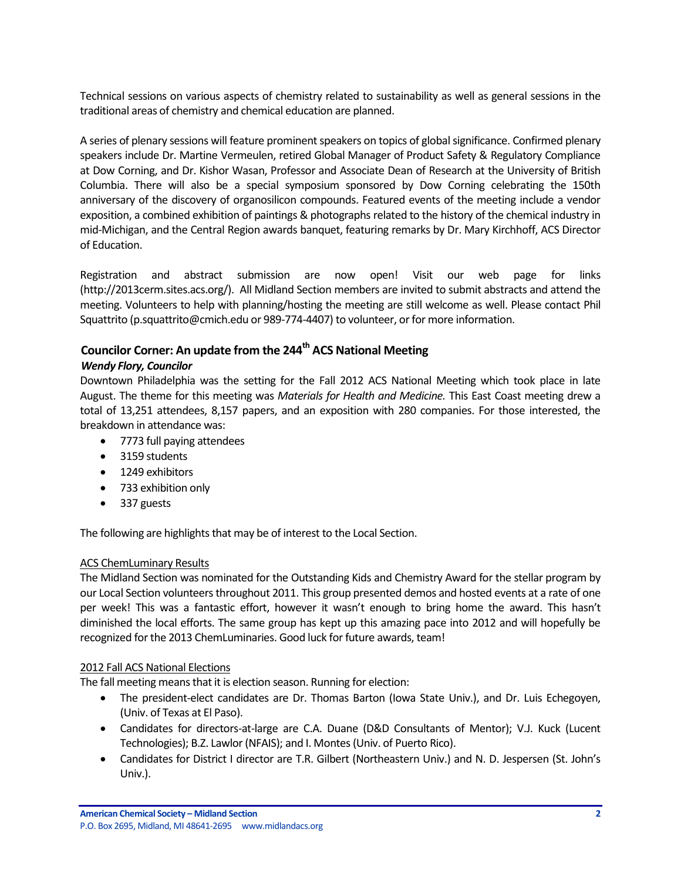Technical sessions on various aspects of chemistry related to sustainability as well as general sessions in the traditional areas of chemistry and chemical education are planned.

A series of plenary sessions will feature prominent speakers on topics of global significance. Confirmed plenary speakers include Dr. Martine Vermeulen, retired Global Manager of Product Safety & Regulatory Compliance at Dow Corning, and Dr. Kishor Wasan, Professor and Associate Dean of Research at the University of British Columbia. There will also be a special symposium sponsored by Dow Corning celebrating the 150th anniversary of the discovery of organosilicon compounds. Featured events of the meeting include a vendor exposition, a combined exhibition of paintings & photographs related to the history of the chemical industry in mid-Michigan, and the Central Region awards banquet, featuring remarks by Dr. Mary Kirchhoff, ACS Director of Education.

Registration and abstract submission are now open! Visit our web page for links (http://2013cerm.sites.acs.org/). All Midland Section members are invited to submit abstracts and attend the meeting. Volunteers to help with planning/hosting the meeting are still welcome as well. Please contact Phil Squattrito (p.squattrito@cmich.edu or 989-774-4407) to volunteer, or for more information.

# <span id="page-1-0"></span>**Councilor Corner: An update from the 244th ACS National Meeting**

## *Wendy Flory, Councilor*

Downtown Philadelphia was the setting for the Fall 2012 ACS National Meeting which took place in late August. The theme for this meeting was *Materials for Health and Medicine.* This East Coast meeting drew a total of 13,251 attendees, 8,157 papers, and an exposition with 280 companies. For those interested, the breakdown in attendance was:

- 7773 full paying attendees
- 3159 students
- 1249 exhibitors
- 733 exhibition only
- 337 guests

The following are highlights that may be of interest to the Local Section.

### ACS ChemLuminary Results

The Midland Section was nominated for the Outstanding Kids and Chemistry Award for the stellar program by our Local Section volunteers throughout 2011. This group presented demos and hosted events at a rate of one per week! This was a fantastic effort, however it wasn't enough to bring home the award. This hasn't diminished the local efforts. The same group has kept up this amazing pace into 2012 and will hopefully be recognized for the 2013 ChemLuminaries. Good luck for future awards, team!

### 2012 Fall ACS National Elections

The fall meeting means that it is election season. Running for election:

- The president-elect candidates are Dr. Thomas Barton (Iowa State Univ.), and Dr. Luis Echegoyen, (Univ. of Texas at El Paso).
- Candidates for directors-at-large are C.A. Duane (D&D Consultants of Mentor); V.J. Kuck (Lucent Technologies); B.Z. Lawlor (NFAIS); and I. Montes (Univ. of Puerto Rico).
- Candidates for District I director are T.R. Gilbert (Northeastern Univ.) and N. D. Jespersen (St. John's Univ.).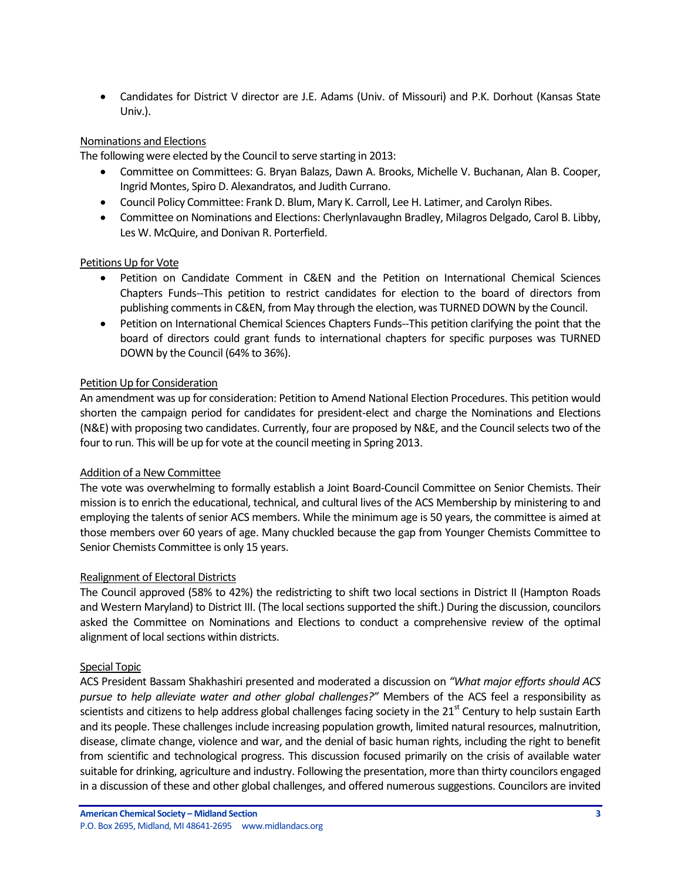Candidates for District V director are J.E. Adams (Univ. of Missouri) and P.K. Dorhout (Kansas State Univ.).

# Nominations and Elections

The following were elected by the Council to serve starting in 2013:

- Committee on Committees: G. Bryan Balazs, Dawn A. Brooks, Michelle V. Buchanan, Alan B. Cooper, Ingrid Montes, Spiro D. Alexandratos, and Judith Currano.
- Council Policy Committee: Frank D. Blum, Mary K. Carroll, Lee H. Latimer, and Carolyn Ribes.
- Committee on Nominations and Elections: Cherlynlavaughn Bradley, Milagros Delgado, Carol B. Libby, Les W. McQuire, and Donivan R. Porterfield.

### Petitions Up for Vote

- Petition on Candidate Comment in C&EN and the Petition on International Chemical Sciences Chapters Funds--This petition to restrict candidates for election to the board of directors from publishing comments in C&EN, from May through the election, was TURNED DOWN by the Council.
- Petition on International Chemical Sciences Chapters Funds--This petition clarifying the point that the board of directors could grant funds to international chapters for specific purposes was TURNED DOWN by the Council (64% to 36%).

### Petition Up for Consideration

An amendment was up for consideration: Petition to Amend National Election Procedures. This petition would shorten the campaign period for candidates for president-elect and charge the Nominations and Elections (N&E) with proposing two candidates. Currently, four are proposed by N&E, and the Council selects two of the four to run. This will be up for vote at the council meeting in Spring 2013.

### Addition of a New Committee

The vote was overwhelming to formally establish a Joint Board-Council Committee on Senior Chemists. Their mission is to enrich the educational, technical, and cultural lives of the ACS Membership by ministering to and employing the talents of senior ACS members. While the minimum age is 50 years, the committee is aimed at those members over 60 years of age. Many chuckled because the gap from Younger Chemists Committee to Senior Chemists Committee is only 15 years.

#### Realignment of Electoral Districts

The Council approved (58% to 42%) the redistricting to shift two local sections in District II (Hampton Roads and Western Maryland) to District III. (The local sections supported the shift.) During the discussion, councilors asked the Committee on Nominations and Elections to conduct a comprehensive review of the optimal alignment of local sections within districts.

#### Special Topic

ACS President Bassam Shakhashiri presented and moderated a discussion on *"What major efforts should ACS pursue to help alleviate water and other global challenges?"* Members of the ACS feel a responsibility as scientists and citizens to help address global challenges facing society in the 21<sup>st</sup> Century to help sustain Earth and its people. These challenges include increasing population growth, limited natural resources, malnutrition, disease, climate change, violence and war, and the denial of basic human rights, including the right to benefit from scientific and technological progress. This discussion focused primarily on the crisis of available water suitable for drinking, agriculture and industry. Following the presentation, more than thirty councilors engaged in a discussion of these and other global challenges, and offered numerous suggestions. Councilors are invited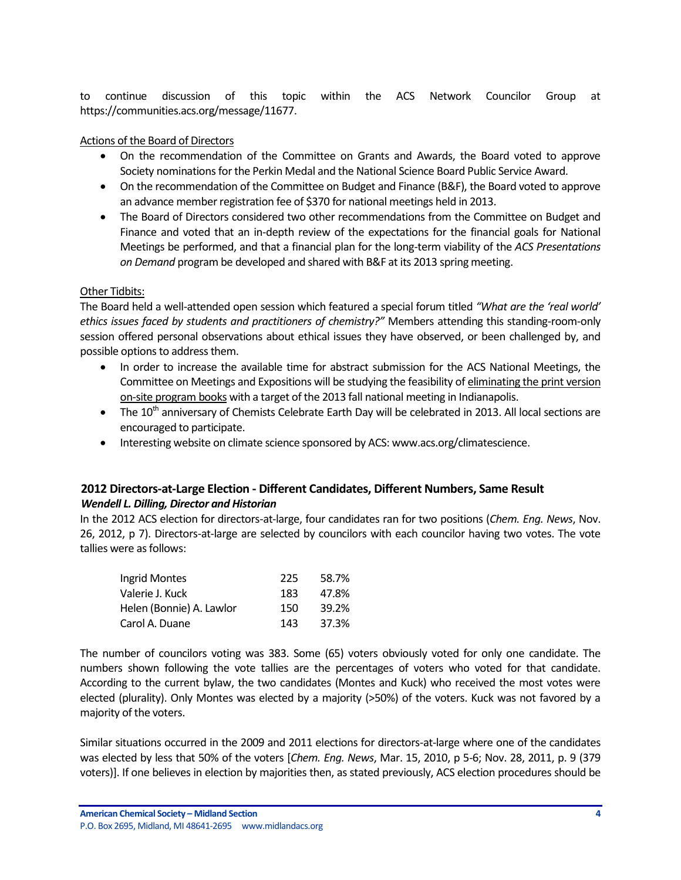to continue discussion of this topic within the ACS Network Councilor Group at https://communities.acs.org/message/11677.

### Actions of the Board of Directors

- On the recommendation of the Committee on Grants and Awards, the Board voted to approve Society nominations for the Perkin Medal and the National Science Board Public Service Award.
- On the recommendation of the Committee on Budget and Finance (B&F), the Board voted to approve an advance member registration fee of \$370 for national meetings held in 2013.
- The Board of Directors considered two other recommendations from the Committee on Budget and Finance and voted that an in-depth review of the expectations for the financial goals for National Meetings be performed, and that a financial plan for the long-term viability of the *ACS Presentations on Demand* program be developed and shared with B&F at its 2013 spring meeting.

### Other Tidbits:

The Board held a well-attended open session which featured a special forum titled *"What are the 'real world' ethics issues faced by students and practitioners of chemistry?"* Members attending this standing-room-only session offered personal observations about ethical issues they have observed, or been challenged by, and possible options to address them.

- In order to increase the available time for abstract submission for the ACS National Meetings, the Committee on Meetings and Expositions will be studying the feasibility of eliminating the print version on-site program books with a target of the 2013 fall national meeting in Indianapolis.
- $\bullet$  The 10<sup>th</sup> anniversary of Chemists Celebrate Earth Day will be celebrated in 2013. All local sections are encouraged to participate.
- Interesting website on climate science sponsored by ACS: www.acs.org/climatescience.

# <span id="page-3-0"></span>**2012 Directors-at-Large Election - Different Candidates, Different Numbers, Same Result**

### *Wendell L. Dilling, Director and Historian*

In the 2012 ACS election for directors-at-large, four candidates ran for two positions (*Chem. Eng. News*, Nov. 26, 2012, p 7). Directors-at-large are selected by councilors with each councilor having two votes. The vote tallies were as follows:

| Ingrid Montes            | 225 | 58.7% |
|--------------------------|-----|-------|
| Valerie J. Kuck          | 183 | 47.8% |
| Helen (Bonnie) A. Lawlor | 150 | 39.2% |
| Carol A. Duane           | 143 | 37.3% |

The number of councilors voting was 383. Some (65) voters obviously voted for only one candidate. The numbers shown following the vote tallies are the percentages of voters who voted for that candidate. According to the current bylaw, the two candidates (Montes and Kuck) who received the most votes were elected (plurality). Only Montes was elected by a majority (>50%) of the voters. Kuck was not favored by a majority of the voters.

Similar situations occurred in the 2009 and 2011 elections for directors-at-large where one of the candidates was elected by less that 50% of the voters [*Chem. Eng. News*, Mar. 15, 2010, p 5-6; Nov. 28, 2011, p. 9 (379 voters)]. If one believes in election by majorities then, as stated previously, ACS election procedures should be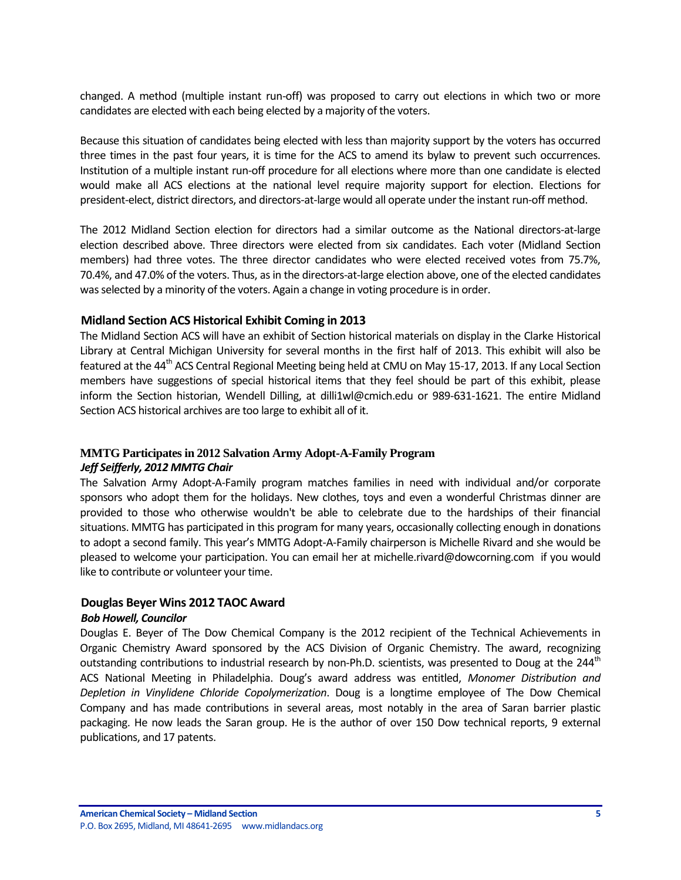changed. A method (multiple instant run-off) was proposed to carry out elections in which two or more candidates are elected with each being elected by a majority of the voters.

Because this situation of candidates being elected with less than majority support by the voters has occurred three times in the past four years, it is time for the ACS to amend its bylaw to prevent such occurrences. Institution of a multiple instant run-off procedure for all elections where more than one candidate is elected would make all ACS elections at the national level require majority support for election. Elections for president-elect, district directors, and directors-at-large would all operate under the instant run-off method.

The 2012 Midland Section election for directors had a similar outcome as the National directors-at-large election described above. Three directors were elected from six candidates. Each voter (Midland Section members) had three votes. The three director candidates who were elected received votes from 75.7%, 70.4%, and 47.0% of the voters. Thus, as in the directors-at-large election above, one of the elected candidates was selected by a minority of the voters. Again a change in voting procedure is in order.

### <span id="page-4-0"></span>**Midland Section ACS Historical Exhibit Coming in 2013**

The Midland Section ACS will have an exhibit of Section historical materials on display in the Clarke Historical Library at Central Michigan University for several months in the first half of 2013. This exhibit will also be featured at the 44<sup>th</sup> ACS Central Regional Meeting being held at CMU on May 15-17, 2013. If any Local Section members have suggestions of special historical items that they feel should be part of this exhibit, please inform the Section historian, Wendell Dilling, at dilli1wl@cmich.edu or 989-631-1621. The entire Midland Section ACS historical archives are too large to exhibit all of it.

# **MMTG Participates in 2012 Salvation Army Adopt-A-Family Program**

### *Jeff Seifferly, 2012 MMTG Chair*

The Salvation Army Adopt-A-Family program matches families in need with individual and/or corporate sponsors who adopt them for the holidays. New clothes, toys and even a wonderful Christmas dinner are provided to those who otherwise wouldn't be able to celebrate due to the hardships of their financial situations. MMTG has participated in this program for many years, occasionally collecting enough in donations to adopt a second family. This year's MMTG Adopt-A-Family chairperson is Michelle Rivard and she would be pleased to welcome your participation. You can email her at michelle.rivard@dowcorning.com if you would like to contribute or volunteer your time.

### <span id="page-4-1"></span>**Douglas Beyer Wins 2012 TAOC Award**

#### *Bob Howell, Councilor*

Douglas E. Beyer of The Dow Chemical Company is the 2012 recipient of the Technical Achievements in Organic Chemistry Award sponsored by the ACS Division of Organic Chemistry. The award, recognizing outstanding contributions to industrial research by non-Ph.D. scientists, was presented to Doug at the  $244<sup>th</sup>$ ACS National Meeting in Philadelphia. Doug's award address was entitled, *Monomer Distribution and Depletion in Vinylidene Chloride Copolymerization*. Doug is a longtime employee of The Dow Chemical Company and has made contributions in several areas, most notably in the area of Saran barrier plastic packaging. He now leads the Saran group. He is the author of over 150 Dow technical reports, 9 external publications, and 17 patents.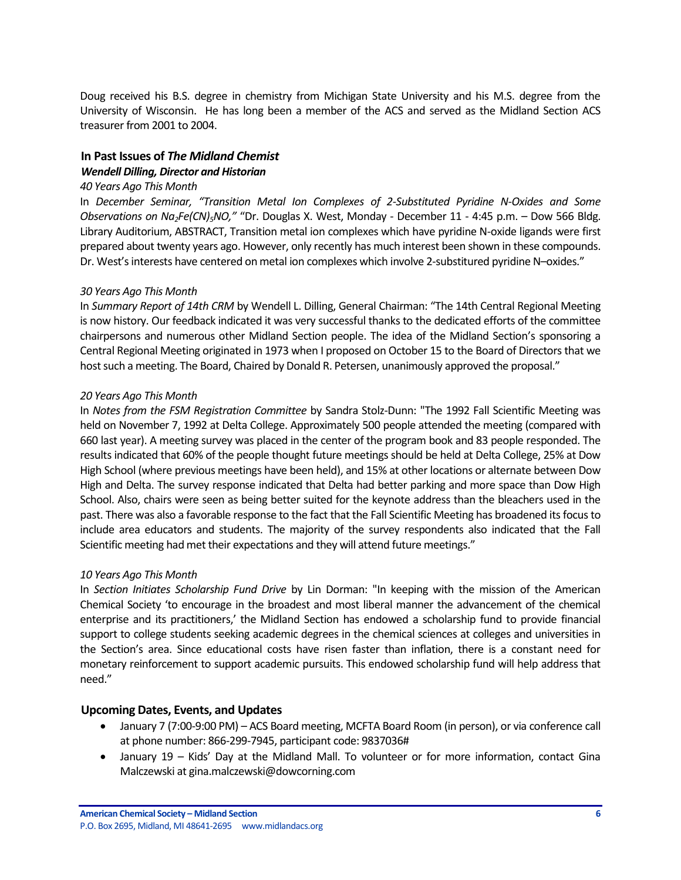Doug received his B.S. degree in chemistry from Michigan State University and his M.S. degree from the University of Wisconsin. He has long been a member of the ACS and served as the Midland Section ACS treasurer from 2001 to 2004.

# <span id="page-5-0"></span>**In Past Issues of** *The Midland Chemist Wendell Dilling, Director and Historian*

#### *40 Years Ago This Month*

In *December Seminar, "Transition Metal Ion Complexes of 2-Substituted Pyridine N-Oxides and Some Observations on Na2Fe(CN)5NO,"* "Dr. Douglas X. West, Monday - December 11 - 4:45 p.m. – Dow 566 Bldg. Library Auditorium, ABSTRACT, Transition metal ion complexes which have pyridine N-oxide ligands were first prepared about twenty years ago. However, only recently has much interest been shown in these compounds. Dr. West's interests have centered on metal ion complexes which involve 2-substitured pyridine N–oxides."

#### *30 Years Ago This Month*

In *Summary Report of 14th CRM* by Wendell L. Dilling, General Chairman: "The 14th Central Regional Meeting is now history. Our feedback indicated it was very successful thanks to the dedicated efforts of the committee chairpersons and numerous other Midland Section people. The idea of the Midland Section's sponsoring a Central Regional Meeting originated in 1973 when I proposed on October 15 to the Board of Directors that we host such a meeting. The Board, Chaired by Donald R. Petersen, unanimously approved the proposal."

#### *20 Years Ago This Month*

In *Notes from the FSM Registration Committee* by Sandra Stolz-Dunn: "The 1992 Fall Scientific Meeting was held on November 7, 1992 at Delta College. Approximately 500 people attended the meeting (compared with 660 last year). A meeting survey was placed in the center of the program book and 83 people responded. The results indicated that 60% of the people thought future meetings should be held at Delta College, 25% at Dow High School (where previous meetings have been held), and 15% at other locations or alternate between Dow High and Delta. The survey response indicated that Delta had better parking and more space than Dow High School. Also, chairs were seen as being better suited for the keynote address than the bleachers used in the past. There was also a favorable response to the fact that the Fall Scientific Meeting has broadened its focus to include area educators and students. The majority of the survey respondents also indicated that the Fall Scientific meeting had met their expectations and they will attend future meetings."

### *10 Years Ago This Month*

In *Section Initiates Scholarship Fund Drive* by Lin Dorman: "In keeping with the mission of the American Chemical Society 'to encourage in the broadest and most liberal manner the advancement of the chemical enterprise and its practitioners,' the Midland Section has endowed a scholarship fund to provide financial support to college students seeking academic degrees in the chemical sciences at colleges and universities in the Section's area. Since educational costs have risen faster than inflation, there is a constant need for monetary reinforcement to support academic pursuits. This endowed scholarship fund will help address that need."

### <span id="page-5-1"></span>**Upcoming Dates, Events, and Updates**

- January 7 (7:00-9:00 PM) ACS Board meeting, MCFTA Board Room (in person), or via conference call at phone number: 866-299-7945, participant code: 9837036#
- January 19 Kids' Day at the Midland Mall. To volunteer or for more information, contact Gina Malczewski at gina.malczewski@dowcorning.com